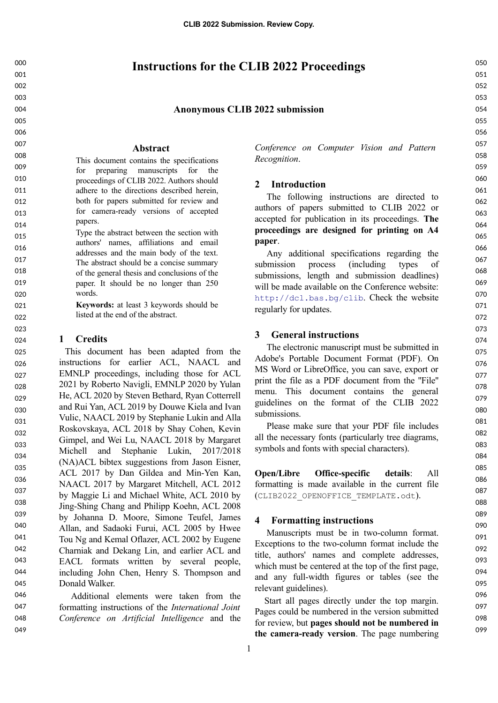# **Instructions for the CLIB 2022 Proceedings**

## **Anonymous CLIB 2022 submission**

### **Abstract**

This document contains the specifications for preparing manuscripts for the proceedings of CLIB 2022. Authors should adhere to the directions described herein, both for papers submitted for review and for camera-ready versions of accepted papers.

Type the abstract between the section with authors' names, affiliations and email addresses and the main body of the text. The abstract should be a concise summary of the general thesis and conclusions of the paper. It should be no longer than 250 words.

> **Keywords:** at least 3 keywords should be listed at the end of the abstract.

## **1 Credits**

This document has been adapted from the instructions for earlier ACL, NAACL and EMNLP proceedings, including those for ACL 2021 by Roberto Navigli, EMNLP 2020 by Yulan He, ACL 2020 by Steven Bethard, Ryan Cotterrell and Rui Yan, ACL 2019 by Douwe Kiela and Ivan Vulic, NAACL 2019 by Stephanie Lukin and Alla Roskovskaya, ACL 2018 by Shay Cohen, Kevin Gimpel, and Wei Lu, NAACL 2018 by Margaret Michell and Stephanie Lukin, 2017/2018 (NA)ACL bibtex suggestions from Jason Eisner, ACL 2017 by Dan Gildea and Min-Yen Kan, NAACL 2017 by Margaret Mitchell, ACL 2012 by Maggie Li and Michael White, ACL 2010 by Jing-Shing Chang and Philipp Koehn, ACL 2008 by Johanna D. Moore, Simone Teufel, James Allan, and Sadaoki Furui, ACL 2005 by Hwee Tou Ng and Kemal Oflazer, ACL 2002 by Eugene Charniak and Dekang Lin, and earlier ACL and EACL formats written by several people, including John Chen, Henry S. Thompson and Donald Walker. 025 026 027 028 029 030 031 032 033 034 035 036 037 038 039 040 041 042 043 044 045

Additional elements were taken from the formatting instructions of the *International Joint Conference on Artificial Intelligence* and the 046 047 048

049

*Conference on Computer Vision and Pattern Recognition*.

### **2 Introduction**

The following instructions are directed to authors of papers submitted to CLIB 2022 or accepted for publication in its proceedings. **The proceedings are designed for printing on A4 paper**.

Any additional specifications regarding the submission process (including types of submissions, length and submission deadlines) will be made available on the Conference website: <http://dcl.bas.bg/clib>. Check the website regularly for updates.

### **3 General instructions**

The electronic manuscript must be submitted in Adobe's Portable Document Format (PDF). On MS Word or LibreOffice, you can save, export or print the file as a PDF document from the ''File'' menu. This document contains the general guidelines on the format of the CLIB 2022 submissions.

Please make sure that your PDF file includes all the necessary fonts (particularly tree diagrams, symbols and fonts with special characters).

**Open/Libre Office-specific details**: All formatting is made available in the current file (CLIB2022\_OPENOFFICE\_TEMPLATE.odt).

## **4 Formatting instructions**

Manuscripts must be in two-column format. Exceptions to the two-column format include the title, authors' names and complete addresses, which must be centered at the top of the first page, and any full-width figures or tables (see the relevant guidelines).

Start all pages directly under the top margin. Pages could be numbered in the version submitted for review, but **pages should not be numbered in the camera-ready version**. The page numbering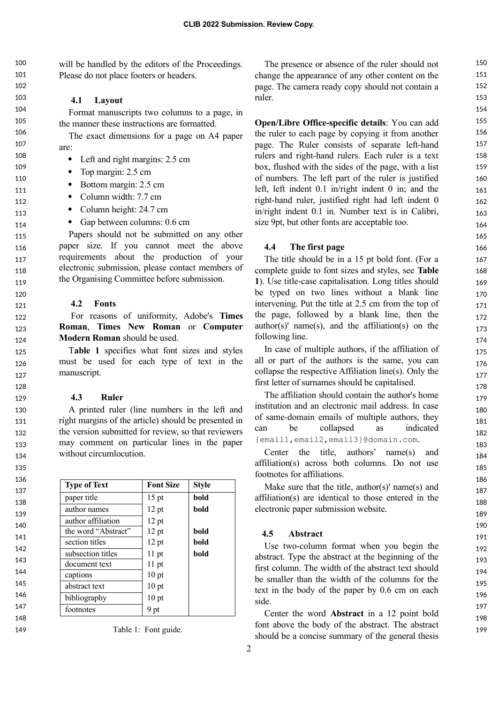will be handled by the editors of the Proceedings. Please do not place footers or headers.  $100$ 101

## **4.1 Layout**

Format manuscripts two columns to a page, in the manner these instructions are formatted.

The exact dimensions for a page on A4 paper are:

- Left and right margins: 2.5 cm
- Top margin: 2.5 cm
- Bottom margin: 2.5 cm
- Column width: 7.7 cm
- Column height: 24.7 cm
- Gap between columns: 0.6 cm

Papers should not be submitted on any other paper size. If you cannot meet the above requirements about the production of your electronic submission, please contact members of the Organising Committee before submission.

### **4.2 Fonts**

For reasons of uniformity, Adobe's **Times Roman**, **Times New Roman** or **Computer Modern Roman** should be used.

T**able 1** specifies what font sizes and styles must be used for each type of text in the manuscript.

### **4.3 Ruler**

A printed ruler (line numbers in the left and right margins of the article) should be presented in the version submitted for review, so that reviewers may comment on particular lines in the paper without circumlocution.

| <b>Type of Text</b> | <b>Font Size</b> | <b>Style</b> |
|---------------------|------------------|--------------|
| paper title         | $15$ pt          | bold         |
| author names        | 12 pt            | bold         |
| author affiliation  | 12 pt            |              |
| the word "Abstract" | 12 pt            | bold         |
| section titles      | 12 pt            | bold         |
| subsection titles   | $11$ pt          | bold         |
| document text       | $11$ pt          |              |
| captions            | 10 pt            |              |
| abstract text       | 10 <sub>pt</sub> |              |
| bibliography        | 10 pt            |              |
| footnotes           | 9 pt             |              |

|  |  |  | Table 1: Font guide. |
|--|--|--|----------------------|
|--|--|--|----------------------|

The presence or absence of the ruler should not change the appearance of any other content on the page. The camera ready copy should not contain a ruler.

**Open/Libre Office-specific details**: You can add the ruler to each page by copying it from another page. The Ruler consists of separate left-hand rulers and right-hand rulers. Each ruler is a text box, flushed with the sides of the page, with a list of numbers. The left part of the ruler is justified left, left indent 0.1 in/right indent 0 in; and the right-hand ruler, justified right had left indent 0 in/right indent 0.1 in. Number text is in Calibri, size 9pt, but other fonts are acceptable too.

### **4.4 The first page**

The title should be in a 15 pt bold font. (For a complete guide to font sizes and styles, see **Table 1**). Use title-case capitalisation. Long titles should be typed on two lines without a blank line intervening. Put the title at 2.5 cm from the top of the page, followed by a blank line, then the author(s)' name(s), and the affiliation(s) on the following line.

In case of multiple authors, if the affiliation of all or part of the authors is the same, you can collapse the respective Affiliation line(s). Only the first letter of surnames should be capitalised.

The affiliation should contain the author's home institution and an electronic mail address. In case of same-domain emails of multiple authors, they can be collapsed as indicated {email1,email2,email3}@domain.com.

Center the title, authors' name(s) and affiliation(s) across both columns. Do not use footnotes for affiliations.

Make sure that the title, author(s)' name(s) and affiliation(s) are identical to those entered in the electronic paper submission website.

### **4.5 Abstract**

Use two-column format when you begin the abstract. Type the abstract at the beginning of the first column. The width of the abstract text should be smaller than the width of the columns for the text in the body of the paper by 0.6 cm on each side.

Center the word **Abstract** in a 12 point bold font above the body of the abstract. The abstract should be a concise summary of the general thesis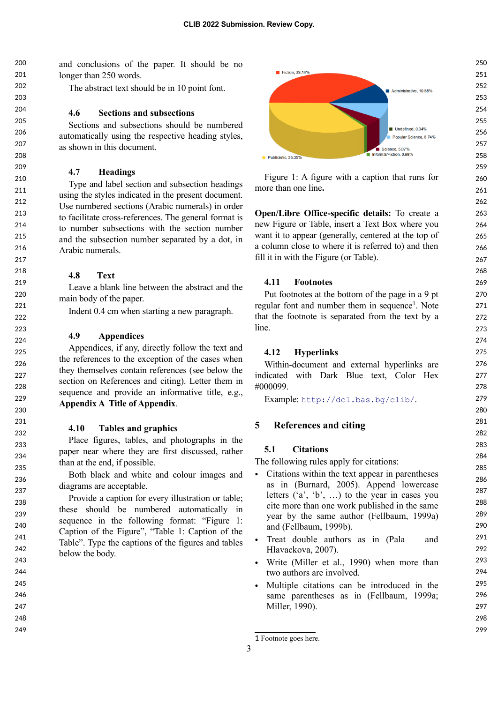and conclusions of the paper. It should be no longer than 250 words.  $200$ 201 202

The abstract text should be in 10 point font.

## **4.6 Sections and subsections**

Sections and subsections should be numbered automatically using the respective heading styles, as shown in this document.

## **4.7 Headings**

Type and label section and subsection headings using the styles indicated in the present document. Use numbered sections (Arabic numerals) in order to facilitate cross-references. The general format is to number subsections with the section number and the subsection number separated by a dot, in Arabic numerals.

## **4.8 Text**

Leave a blank line between the abstract and the main body of the paper.

Indent 0.4 cm when starting a new paragraph.

## **4.9 Appendices**

Appendices, if any, directly follow the text and the references to the exception of the cases when they themselves contain references (see below the section on References and citing). Letter them in sequence and provide an informative title, e.g., **Appendix A Title of Appendix**.

### **4.10 Tables and graphics**

Place figures, tables, and photographs in the paper near where they are first discussed, rather than at the end, if possible.

Both black and white and colour images and diagrams are acceptable.

Provide a caption for every illustration or table; these should be numbered automatically in sequence in the following format: "Figure 1: Caption of the Figure", "Table 1: Caption of the Table". Type the captions of the figures and tables below the body.



Figure 1: A figure with a caption that runs for more than one line**.**

**Open/Libre Office-specific details:** To create a new Figure or Table, insert a Text Box where you want it to appear (generally, centered at the top of a column close to where it is referred to) and then fill it in with the Figure (or Table).

## **4.11 Footnotes**

Put footnotes at the bottom of the page in a 9 pt regular font and number them in sequence<sup>[1](#page-2-0)</sup>. Note that the footnote is separated from the text by a line.

## **4.12 Hyperlinks**

Within-document and external hyperlinks are indicated with Dark Blue text, Color Hex #000099.

Example: <http://dcl.bas.bg/clib/>.

## **5 References and citing**

#### **5.1 Citations**

The following rules apply for citations:

- Citations within the text appear in parentheses as in (Burnard, 2005). Append lowercase letters  $(a', b', ...)$  to the year in cases you cite more than one work published in the same year by the same author (Fellbaum, 1999a) and (Fellbaum, 1999b).
- Treat double authors as in (Pala and Hlavackova, 2007).
- Write (Miller et al., 1990) when more than two authors are involved.
- Multiple citations can be introduced in the same parentheses as in (Fellbaum, 1999a; Miller, 1990).

<span id="page-2-0"></span><sup>1</sup> Footnote goes here.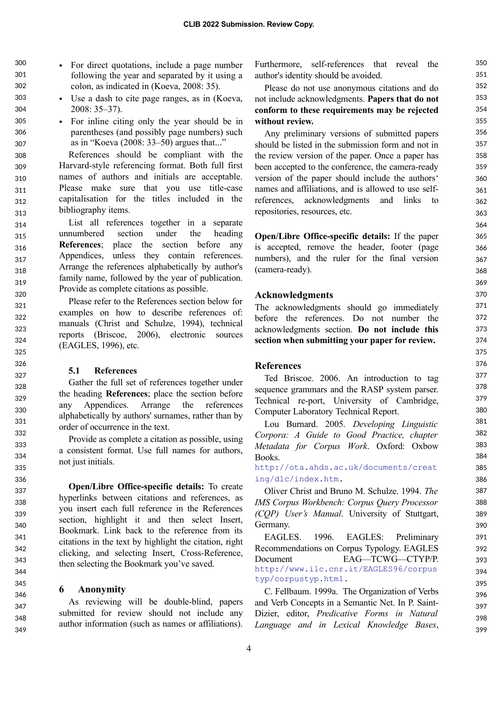• For direct quotations, include a page number following the year and separated by it using a colon, as indicated in (Koeva, 2008: 35). 300 301 302

- Use a dash to cite page ranges, as in (Koeva, 2008: 35–37).
- For inline citing only the year should be in parentheses (and possibly page numbers) such as in "Koeva (2008: 33–50) argues that..."

References should be compliant with the Harvard-style referencing format. Both full first names of authors and initials are acceptable. Please make sure that you use title-case capitalisation for the titles included in the bibliography items. 308 309 310 311 312 313

List all references together in a separate unnumbered section under the heading **References**; place the section before any Appendices, unless they contain references. Arrange the references alphabetically by author's family name, followed by the year of publication. Provide as complete citations as possible. 314 315 316 317 318 319 320

Please refer to the References section below for examples on how to describe references of: manuals (Christ and Schulze, 1994), technical reports (Briscoe, 2006), electronic sources (EAGLES, 1996), etc.

## **5.1 References**

Gather the full set of references together under the heading **References**; place the section before any Appendices. Arrange the references alphabetically by authors' surnames, rather than by order of occurrence in the text.

Provide as complete a citation as possible, using a consistent format. Use full names for authors, not just initials.

**Open/Libre Office-specific details:** To create hyperlinks between citations and references, as you insert each full reference in the References section, highlight it and then select Insert, Bookmark. Link back to the reference from its citations in the text by highlight the citation, right clicking, and selecting Insert, Cross-Reference, then selecting the Bookmark you've saved.

### **6 Anonymity**

As reviewing will be double-blind, papers submitted for review should not include any author information (such as names or affiliations).

Furthermore, self-references that reveal the author's identity should be avoided.

Please do not use anonymous citations and do not include acknowledgments. **Papers that do not conform to these requirements may be rejected without review.**

Any preliminary versions of submitted papers should be listed in the submission form and not in the review version of the paper. Once a paper has been accepted to the conference, the camera-ready version of the paper should include the authors' names and affiliations, and is allowed to use selfreferences, acknowledgments and links to repositories, resources, etc.

**Open/Libre Office-specific details:** If the paper is accepted, remove the header, footer (page numbers), and the ruler for the final version (camera-ready).

## **Acknowledgments**

The acknowledgments should go immediately before the references. Do not number the acknowledgments section. **Do not include this section when submitting your paper for review.**

### **References**

Ted Briscoe. 2006. An introduction to tag sequence grammars and the RASP system parser. Technical re-port, University of Cambridge, Computer Laboratory Technical Report.

Lou Burnard. 2005. *Developing Linguistic Corpora: А Guide to Good Practice, chapter Metadata for Corpus Work*. Oxford: Oxbow Books.

[http://ota.ahds.ac.uk/documents/creat](http://ota.ahds.ac.uk/documents/creating/dlc/index.htm) [ing/dlc/index.htm](http://ota.ahds.ac.uk/documents/creating/dlc/index.htm).

Oliver Christ and Bruno M. Schulze. 1994. *The IMS Corpus Workbench: Corpus Query Processor (CQP) User's Manual*. University of Stuttgart, Germany.

EAGLES. 1996. EAGLES: Preliminary Recommendations on Corpus Typology. EAGLES Document EAG—TCWG—CTYP/P. [http://www.ilc.cnr.it/EAGLES96/corpus](http://www.ilc.cnr.it/EAGLES96/corpustyp/corpustyp.html) [typ/corpustyp.html](http://www.ilc.cnr.it/EAGLES96/corpustyp/corpustyp.html).

C. Fellbaum. 1999a. The Organization of Verbs and Verb Concepts in a Semantic Net. In P. Saint-Dizier, editor, *Predicative Forms in Natural Language and in Lexical Knowledge Bases*,

350 351